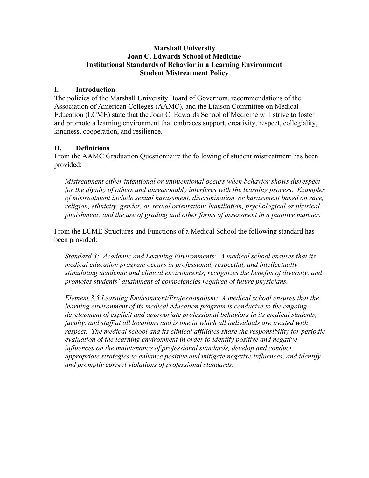### **Marshall University Joan C. Edwards School of Medicine Institutional Standards of Behavior in a Learning Environment Student Mistreatment Policy**

## **I. Introduction**

The policies of the Marshall University Board of Governors, recommendations of the Association of American Colleges (AAMC), and the Liaison Committee on Medical Education (LCME) state that the Joan C. Edwards School of Medicine will strive to foster and promote a learning environment that embraces support, creativity, respect, collegiality, kindness, cooperation, and resilience.

## **II. Definitions**

From the AAMC Graduation Questionnaire the following of student mistreatment has been provided:

*Mistreatment either intentional or unintentional occurs when behavior shows disrespect for the dignity of others and unreasonably interferes with the learning process. Examples of mistreatment include sexual harassment, discrimination, or harassment based on race, religion, ethnicity, gender, or sexual orientation; humiliation, psychological or physical punishment; and the use of grading and other forms of assessment in a punitive manner.*

From the LCME Structures and Functions of a Medical School the following standard has been provided:

*Standard 3: Academic and Learning Environments: A medical school ensures that its medical education program occurs in professional, respectful, and intellectually stimulating academic and clinical environments, recognizes the benefits of diversity, and promotes students' attainment of competencies required of future physicians.*

*Element 3.5 Learning Environment/Professionalism: A medical school ensures that the learning environment of its medical education program is conducive to the ongoing development of explicit and appropriate professional behaviors in its medical students, faculty, and staff at all locations and is one in which all individuals are treated with respect. The medical school and its clinical affiliates share the responsibility for periodic evaluation of the learning environment in order to identify positive and negative influences on the maintenance of professional standards, develop and conduct appropriate strategies to enhance positive and mitigate negative influences, and identify and promptly correct violations of professional standards.*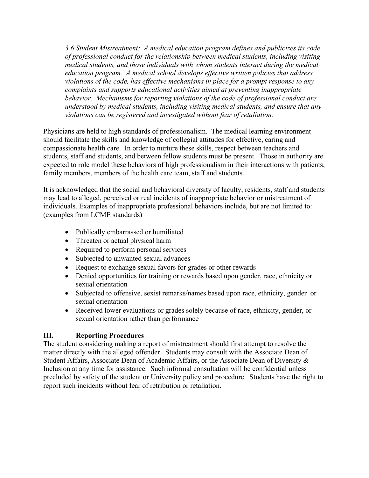*3.6 Student Mistreatment: A medical education program defines and publicizes its code of professional conduct for the relationship between medical students, including visiting medical students, and those individuals with whom students interact during the medical education program. A medical school develops effective written policies that address violations of the code, has effective mechanisms in place for a prompt response to any complaints and supports educational activities aimed at preventing inappropriate behavior. Mechanisms for reporting violations of the code of professional conduct are understood by medical students, including visiting medical students, and ensure that any violations can be registered and investigated without fear of retaliation.*

Physicians are held to high standards of professionalism. The medical learning environment should facilitate the skills and knowledge of collegial attitudes for effective, caring and compassionate health care. In order to nurture these skills, respect between teachers and students, staff and students, and between fellow students must be present. Those in authority are expected to role model these behaviors of high professionalism in their interactions with patients, family members, members of the health care team, staff and students.

It is acknowledged that the social and behavioral diversity of faculty, residents, staff and students may lead to alleged, perceived or real incidents of inappropriate behavior or mistreatment of individuals. Examples of inappropriate professional behaviors include, but are not limited to: (examples from LCME standards)

- Publically embarrassed or humiliated
- Threaten or actual physical harm
- Required to perform personal services
- Subjected to unwanted sexual advances
- Request to exchange sexual favors for grades or other rewards
- Denied opportunities for training or rewards based upon gender, race, ethnicity or sexual orientation
- Subjected to offensive, sexist remarks/names based upon race, ethnicity, gender or sexual orientation
- Received lower evaluations or grades solely because of race, ethnicity, gender, or sexual orientation rather than performance

## **III. Reporting Procedures**

The student considering making a report of mistreatment should first attempt to resolve the matter directly with the alleged offender. Students may consult with the Associate Dean of Student Affairs, Associate Dean of Academic Affairs, or the Associate Dean of Diversity & Inclusion at any time for assistance. Such informal consultation will be confidential unless precluded by safety of the student or University policy and procedure. Students have the right to report such incidents without fear of retribution or retaliation.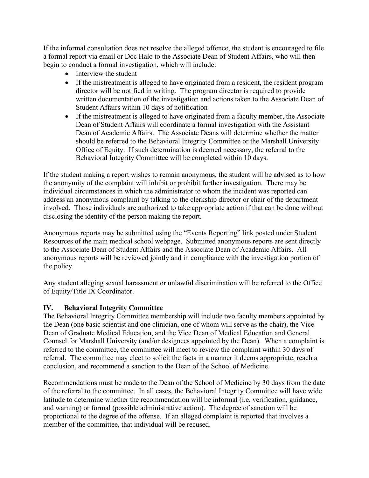If the informal consultation does not resolve the alleged offence, the student is encouraged to file a formal report via email or Doc Halo to the Associate Dean of Student Affairs, who will then begin to conduct a formal investigation, which will include:

- Interview the student
- If the mistreatment is alleged to have originated from a resident, the resident program director will be notified in writing. The program director is required to provide written documentation of the investigation and actions taken to the Associate Dean of Student Affairs within 10 days of notification
- If the mistreatment is alleged to have originated from a faculty member, the Associate Dean of Student Affairs will coordinate a formal investigation with the Assistant Dean of Academic Affairs. The Associate Deans will determine whether the matter should be referred to the Behavioral Integrity Committee or the Marshall University Office of Equity. If such determination is deemed necessary, the referral to the Behavioral Integrity Committee will be completed within 10 days.

If the student making a report wishes to remain anonymous, the student will be advised as to how the anonymity of the complaint will inhibit or prohibit further investigation. There may be individual circumstances in which the administrator to whom the incident was reported can address an anonymous complaint by talking to the clerkship director or chair of the department involved. Those individuals are authorized to take appropriate action if that can be done without disclosing the identity of the person making the report.

Anonymous reports may be submitted using the "Events Reporting" link posted under Student Resources of the main medical school webpage. Submitted anonymous reports are sent directly to the Associate Dean of Student Affairs and the Associate Dean of Academic Affairs. All anonymous reports will be reviewed jointly and in compliance with the investigation portion of the policy.

Any student alleging sexual harassment or unlawful discrimination will be referred to the Office of Equity/Title IX Coordinator.

## **IV. Behavioral Integrity Committee**

The Behavioral Integrity Committee membership will include two faculty members appointed by the Dean (one basic scientist and one clinician, one of whom will serve as the chair), the Vice Dean of Graduate Medical Education, and the Vice Dean of Medical Education and General Counsel for Marshall University (and/or designees appointed by the Dean). When a complaint is referred to the committee, the committee will meet to review the complaint within 30 days of referral. The committee may elect to solicit the facts in a manner it deems appropriate, reach a conclusion, and recommend a sanction to the Dean of the School of Medicine.

Recommendations must be made to the Dean of the School of Medicine by 30 days from the date of the referral to the committee. In all cases, the Behavioral Integrity Committee will have wide latitude to determine whether the recommendation will be informal (i.e. verification, guidance, and warning) or formal (possible administrative action). The degree of sanction will be proportional to the degree of the offense. If an alleged complaint is reported that involves a member of the committee, that individual will be recused.